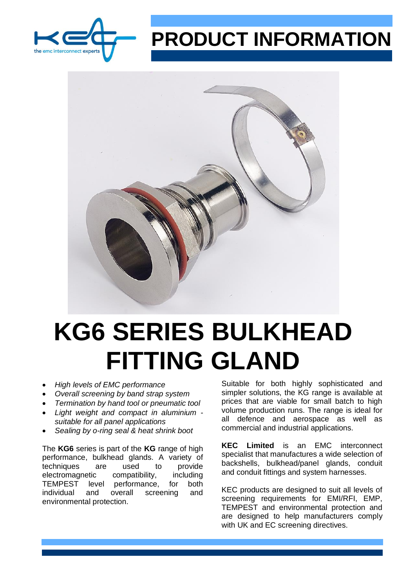

## **PRODUCT INFORMATION**



## **KG6 SERIES BULKHEAD FITTING GLAND**

- *High levels of EMC performance*
- *Overall screening by band strap system*
- *Termination by hand tool or pneumatic tool*
- *Light weight and compact in aluminium suitable for all panel applications*
- *Sealing by o-ring seal & heat shrink boot*

The **KG6** series is part of the **KG** range of high performance, bulkhead glands. A variety of techniques are used to provide electromagnetic compatibility, including TEMPEST level performance, for both individual and overall screening and environmental protection.

Suitable for both highly sophisticated and simpler solutions, the KG range is available at prices that are viable for small batch to high volume production runs. The range is ideal for all defence and aerospace as well as commercial and industrial applications.

**KEC Limited** is an EMC interconnect specialist that manufactures a wide selection of backshells, bulkhead/panel glands, conduit and conduit fittings and system harnesses.

KEC products are designed to suit all levels of screening requirements for EMI/RFI, EMP, TEMPEST and environmental protection and are designed to help manufacturers comply with UK and EC screening directives.